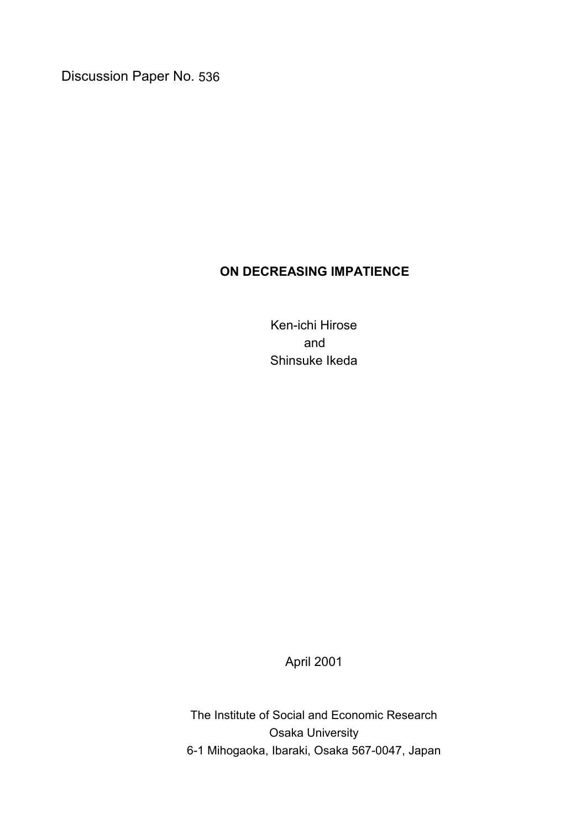Discussion Paper No. 536

# **ON DECREASING IMPATIENCE**

Ken-ichi Hirose and Shinsuke Ikeda

April 2001

The Institute of Social and Economic Research Osaka University 6-1 Mihogaoka, Ibaraki, Osaka 567-0047, Japan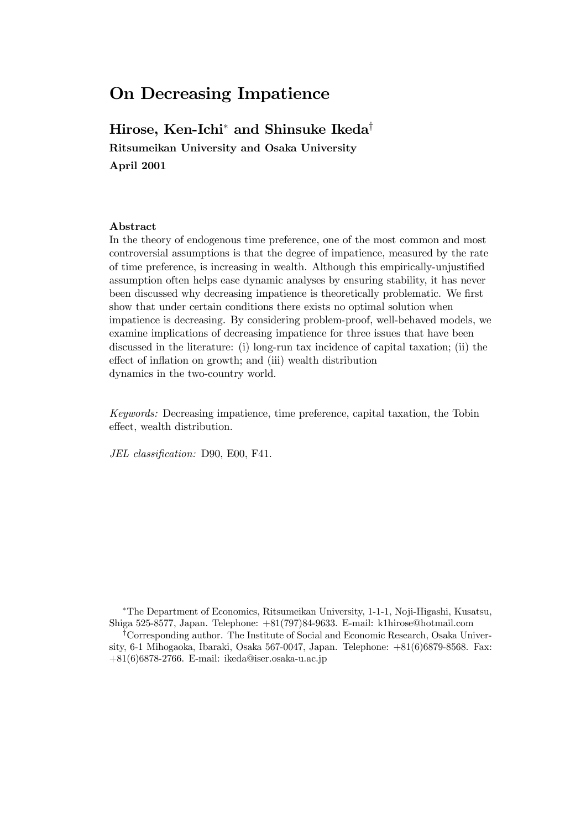# On Decreasing Impatience

# Hirose, Ken-Ichi<sup>\*</sup> and Shinsuke Ikeda<sup>†</sup>

Ritsumeikan University and Osaka University April 2001

#### Abstract

In the theory of endogenous time preference, one of the most common and most controversial assumptions is that the degree of impatience, measured by the rate of time preference, is increasing in wealth. Although this empirically-unjustified assumption often helps ease dynamic analyses by ensuring stability, it has never been discussed why decreasing impatience is theoretically problematic. We first show that under certain conditions there exists no optimal solution when impatience is decreasing. By considering problem-proof, well-behaved models, we examine implications of decreasing impatience for three issues that have been discussed in the literature: (i) long-run tax incidence of capital taxation; (ii) the effect of inflation on growth; and (iii) wealth distribution dynamics in the two-country world.

Keywords: Decreasing impatience, time preference, capital taxation, the Tobin effect, wealth distribution.

JEL classification: D90, E00, F41.

¤The Department of Economics, Ritsumeikan University, 1-1-1, Noji-Higashi, Kusatsu, Shiga 525-8577, Japan. Telephone: +81(797)84-9633. E-mail: k1hirose@hotmail.com <sup>†</sup>Corresponding author. The Institute of Social and Economic Research, Osaka Univer-

sity, 6-1 Mihogaoka, Ibaraki, Osaka 567-0047, Japan. Telephone: +81(6)6879-8568. Fax: +81(6)6878-2766. E-mail: ikeda@iser.osaka-u.ac.jp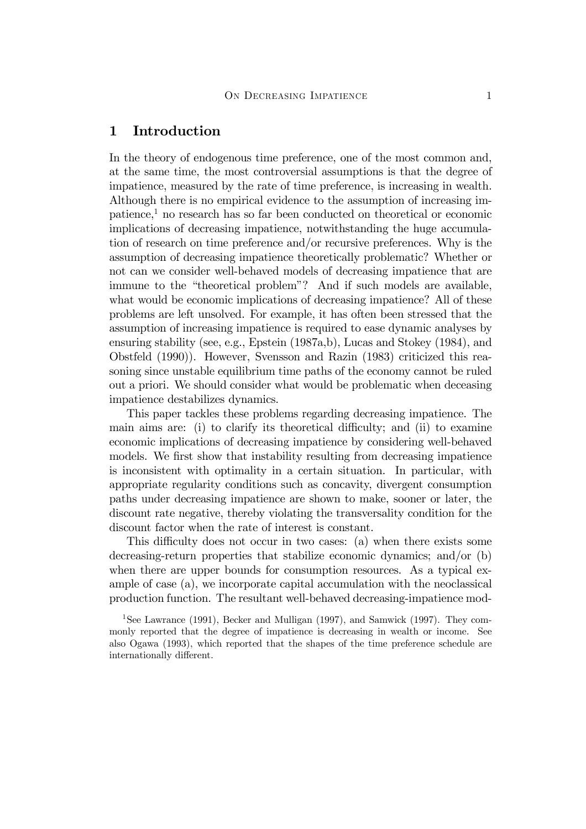### 1 Introduction

In the theory of endogenous time preference, one of the most common and, at the same time, the most controversial assumptions is that the degree of impatience, measured by the rate of time preference, is increasing in wealth. Although there is no empirical evidence to the assumption of increasing impatience,1 no research has so far been conducted on theoretical or economic implications of decreasing impatience, notwithstanding the huge accumulation of research on time preference and/or recursive preferences. Why is the assumption of decreasing impatience theoretically problematic? Whether or not can we consider well-behaved models of decreasing impatience that are immune to the "theoretical problem"? And if such models are available, what would be economic implications of decreasing impatience? All of these problems are left unsolved. For example, it has often been stressed that the assumption of increasing impatience is required to ease dynamic analyses by ensuring stability (see, e.g., Epstein (1987a,b), Lucas and Stokey (1984), and Obstfeld (1990)). However, Svensson and Razin (1983) criticized this reasoning since unstable equilibrium time paths of the economy cannot be ruled out a priori. We should consider what would be problematic when deceasing impatience destabilizes dynamics.

This paper tackles these problems regarding decreasing impatience. The main aims are: (i) to clarify its theoretical difficulty; and (ii) to examine economic implications of decreasing impatience by considering well-behaved models. We first show that instability resulting from decreasing impatience is inconsistent with optimality in a certain situation. In particular, with appropriate regularity conditions such as concavity, divergent consumption paths under decreasing impatience are shown to make, sooner or later, the discount rate negative, thereby violating the transversality condition for the discount factor when the rate of interest is constant.

This difficulty does not occur in two cases: (a) when there exists some decreasing-return properties that stabilize economic dynamics; and/or (b) when there are upper bounds for consumption resources. As a typical example of case (a), we incorporate capital accumulation with the neoclassical production function. The resultant well-behaved decreasing-impatience mod-

<sup>1</sup>See Lawrance (1991), Becker and Mulligan (1997), and Samwick (1997). They commonly reported that the degree of impatience is decreasing in wealth or income. See also Ogawa (1993), which reported that the shapes of the time preference schedule are internationally different.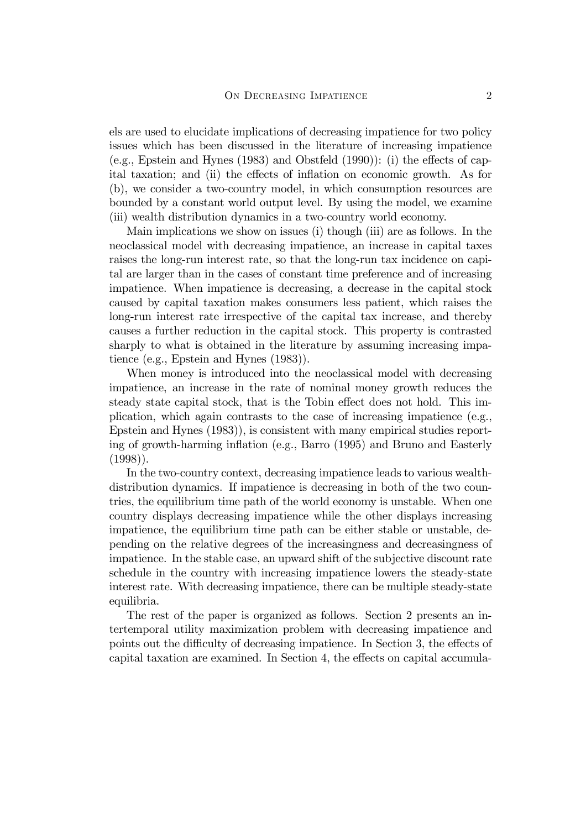els are used to elucidate implications of decreasing impatience for two policy issues which has been discussed in the literature of increasing impatience (e.g., Epstein and Hynes  $(1983)$  and Obstfeld  $(1990)$ ): (i) the effects of capital taxation; and (ii) the effects of inflation on economic growth. As for (b), we consider a two-country model, in which consumption resources are bounded by a constant world output level. By using the model, we examine (iii) wealth distribution dynamics in a two-country world economy.

Main implications we show on issues (i) though (iii) are as follows. In the neoclassical model with decreasing impatience, an increase in capital taxes raises the long-run interest rate, so that the long-run tax incidence on capital are larger than in the cases of constant time preference and of increasing impatience. When impatience is decreasing, a decrease in the capital stock caused by capital taxation makes consumers less patient, which raises the long-run interest rate irrespective of the capital tax increase, and thereby causes a further reduction in the capital stock. This property is contrasted sharply to what is obtained in the literature by assuming increasing impatience (e.g., Epstein and Hynes (1983)).

When money is introduced into the neoclassical model with decreasing impatience, an increase in the rate of nominal money growth reduces the steady state capital stock, that is the Tobin effect does not hold. This implication, which again contrasts to the case of increasing impatience (e.g., Epstein and Hynes (1983)), is consistent with many empirical studies reporting of growth-harming inflation (e.g., Barro  $(1995)$ ) and Bruno and Easterly  $(1998)$ .

In the two-country context, decreasing impatience leads to various wealthdistribution dynamics. If impatience is decreasing in both of the two countries, the equilibrium time path of the world economy is unstable. When one country displays decreasing impatience while the other displays increasing impatience, the equilibrium time path can be either stable or unstable, depending on the relative degrees of the increasingness and decreasingness of impatience. In the stable case, an upward shift of the subjective discount rate schedule in the country with increasing impatience lowers the steady-state interest rate. With decreasing impatience, there can be multiple steady-state equilibria.

The rest of the paper is organized as follows. Section 2 presents an intertemporal utility maximization problem with decreasing impatience and points out the difficulty of decreasing impatience. In Section 3, the effects of capital taxation are examined. In Section 4, the effects on capital accumula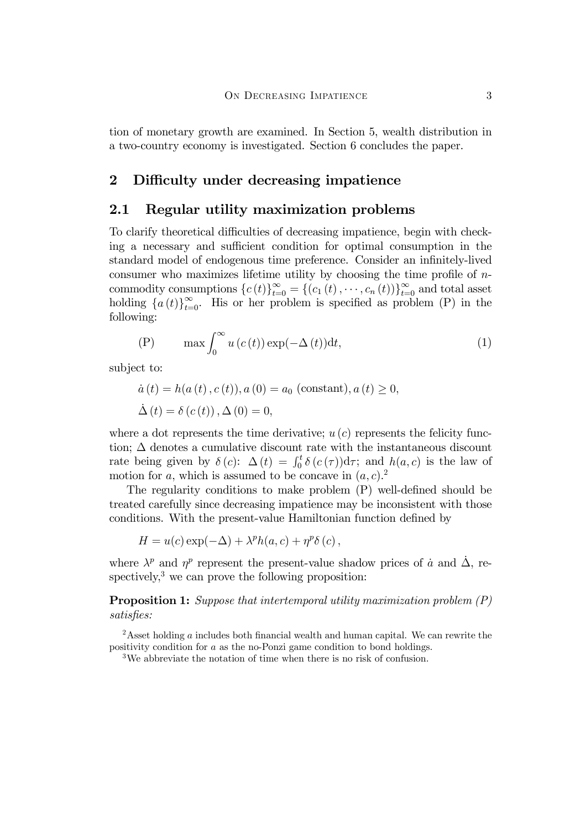tion of monetary growth are examined. In Section 5, wealth distribution in a two-country economy is investigated. Section 6 concludes the paper.

### 2 Difficulty under decreasing impatience

## 2.1 Regular utility maximization problems

To clarify theoretical difficulties of decreasing impatience, begin with checking a necessary and sufficient condition for optimal consumption in the standard model of endogenous time preference. Consider an infinitely-lived consumer who maximizes lifetime utility by choosing the time profile of  $n$ commodity consumptions  ${c(t)}_{t=0}^{\infty} = {(c_1(t), \dots, c_n(t))}_{t=0}^{\infty}$  and total asset holding  $\{a(t)\}_{t=0}^{\infty}$ . His or her problem is specified as problem (P) in the following:

$$
(P) \qquad \max \int_0^\infty u\left(c(t)\right) \exp(-\Delta(t)) dt,\tag{1}
$$

subject to:

$$
\dot{a}(t) = h(a(t), c(t)), a(0) = a_0 \text{ (constant)}, a(t) \ge 0,
$$
  

$$
\dot{\Delta}(t) = \delta(c(t)), \Delta(0) = 0,
$$

where a dot represents the time derivative;  $u(c)$  represents the felicity function;  $\Delta$  denotes a cumulative discount rate with the instantaneous discount rate being given by  $\delta(c)$ :  $\Delta(t) = \int_0^t \delta(c(\tau)) d\tau$ ; and  $h(a, c)$  is the law of motion for a, which is assumed to be concave in  $(a, c)$ .

The regularity conditions to make problem  $(P)$  well-defined should be treated carefully since decreasing impatience may be inconsistent with those conditions. With the present-value Hamiltonian function defined by

$$
H = u(c) \exp(-\Delta) + \lambda^p h(a, c) + \eta^p \delta(c),
$$

where  $\lambda^p$  and  $\eta^p$  represent the present-value shadow prices of a and  $\dot{\Delta}$ , respectively, $3$  we can prove the following proposition:

**Proposition 1:** Suppose that intertemporal utility maximization problem (P) satisfies:

<sup>2</sup>Asset holding a includes both financial wealth and human capital. We can rewrite the positivity condition for a as the no-Ponzi game condition to bond holdings.

3We abbreviate the notation of time when there is no risk of confusion.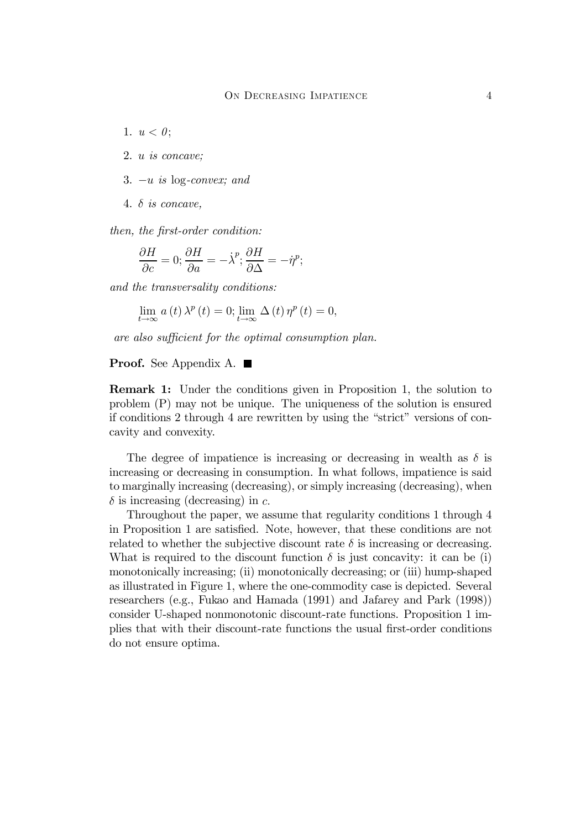- 1.  $u < 0$ ;
- 2. u is concave;
- 3.  $-u$  is log-convex; and
- 4.  $\delta$  is concave,

 $then, the first-order condition:$ 

$$
\frac{\partial H}{\partial c} = 0; \frac{\partial H}{\partial a} = -\dot{\lambda}^p; \frac{\partial H}{\partial \Delta} = -\dot{\eta}^p;
$$

and the transversality conditions:

$$
\lim_{t \to \infty} a(t) \lambda^{p}(t) = 0; \lim_{t \to \infty} \Delta(t) \eta^{p}(t) = 0,
$$

are also sufficient for the optimal consumption plan.

#### Proof. See Appendix A. ■

Remark 1: Under the conditions given in Proposition 1, the solution to problem (P) may not be unique. The uniqueness of the solution is ensured if conditions 2 through 4 are rewritten by using the "strict" versions of concavity and convexity.

The degree of impatience is increasing or decreasing in wealth as  $\delta$  is increasing or decreasing in consumption. In what follows, impatience is said to marginally increasing (decreasing), or simply increasing (decreasing), when  $\delta$  is increasing (decreasing) in c.

Throughout the paper, we assume that regularity conditions 1 through 4 in Proposition 1 are satisfied. Note, however, that these conditions are not related to whether the subjective discount rate  $\delta$  is increasing or decreasing. What is required to the discount function  $\delta$  is just concavity: it can be (i) monotonically increasing; (ii) monotonically decreasing; or (iii) hump-shaped as illustrated in Figure 1, where the one-commodity case is depicted. Several researchers (e.g., Fukao and Hamada (1991) and Jafarey and Park (1998)) consider U-shaped nonmonotonic discount-rate functions. Proposition 1 implies that with their discount-rate functions the usual first-order conditions do not ensure optima.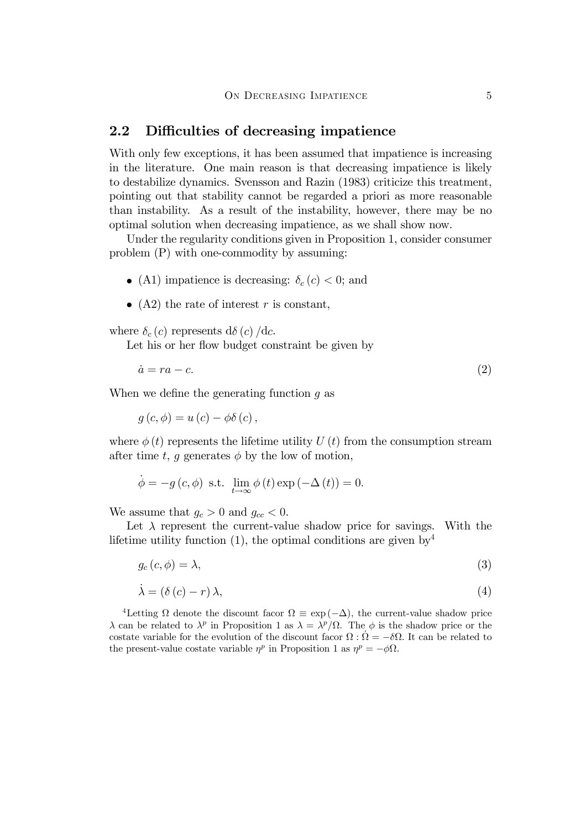#### 2.2 Difficulties of decreasing impatience

With only few exceptions, it has been assumed that impatience is increasing in the literature. One main reason is that decreasing impatience is likely to destabilize dynamics. Svensson and Razin (1983) criticize this treatment, pointing out that stability cannot be regarded a priori as more reasonable than instability. As a result of the instability, however, there may be no optimal solution when decreasing impatience, as we shall show now.

Under the regularity conditions given in Proposition 1, consider consumer problem (P) with one-commodity by assuming:

- (A1) impatience is decreasing:  $\delta_c (c) < 0$ ; and
- (A2) the rate of interest r is constant,

where  $\delta_c(c)$  represents  $d\delta(c)/dc$ .

Let his or her flow budget constraint be given by

$$
\dot{a} = ra - c.\tag{2}
$$

When we define the generating function  $q$  as

 $g(c, \phi) = u(c) - \phi \delta(c)$ .

where  $\phi(t)$  represents the lifetime utility U (t) from the consumption stream after time t, g generates  $\phi$  by the low of motion,

$$
\dot{\phi} = -g(c, \phi) \text{ s.t. } \lim_{t \to \infty} \phi(t) \exp(-\Delta(t)) = 0.
$$

We assume that  $g_c > 0$  and  $g_{cc} < 0$ .

Let  $\lambda$  represent the current-value shadow price for savings. With the lifetime utility function (1), the optimal conditions are given by  $4$ 

$$
g_c(c,\phi) = \lambda,\tag{3}
$$

$$
\dot{\lambda} = (\delta(c) - r)\lambda,\tag{4}
$$

<sup>4</sup>Letting  $\Omega$  denote the discount facor  $\Omega \equiv \exp(-\Delta)$ , the current-value shadow price  $\lambda$  can be related to  $\lambda^p$  in Proposition 1 as  $\lambda = \lambda^p/\Omega$ . The  $\phi$  is the shadow price or the costate variable for the evolution of the discount facor  $\Omega$ :  $\dot{\Omega} = -\delta\Omega$ . It can be related to the present-value costate variable  $\eta^p$  in Proposition 1 as  $\eta^p = -\phi\Omega$ .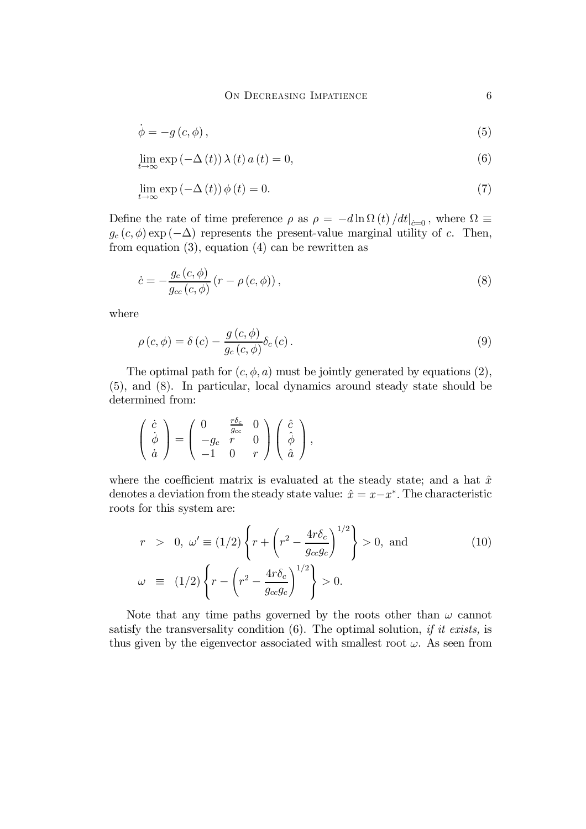#### ON DECREASING IMPATIENCE 6

$$
\dot{\phi} = -g(c, \phi),\tag{5}
$$

$$
\lim_{t \to \infty} \exp(-\Delta(t)) \lambda(t) a(t) = 0,
$$
\n(6)

$$
\lim_{t \to \infty} \exp(-\Delta(t)) \phi(t) = 0. \tag{7}
$$

Define the rate of time preference  $\rho$  as  $\rho = -d \ln \Omega(t) / dt |_{c=0}$ , where  $\Omega \equiv$  $g_c(c, \phi)$  exp ( $-\Delta$ ) represents the present-value marginal utility of c. Then, from equation  $(3)$ , equation  $(4)$  can be rewritten as

$$
\dot{c} = -\frac{g_c(c,\phi)}{g_{cc}(c,\phi)}\left(r - \rho(c,\phi)\right),\tag{8}
$$

where

$$
\rho(c,\phi) = \delta(c) - \frac{g(c,\phi)}{g_c(c,\phi)} \delta_c(c). \tag{9}
$$

The optimal path for  $(c, \phi, a)$  must be jointly generated by equations (2), (5), and (8). In particular, local dynamics around steady state should be determined from:

$$
\begin{pmatrix}\n\dot{c} \\
\dot{\phi} \\
\dot{a}\n\end{pmatrix} = \begin{pmatrix}\n0 & \frac{r\delta_c}{g_{cc}} & 0 \\
-g_c & r & 0 \\
-1 & 0 & r\n\end{pmatrix} \begin{pmatrix}\n\hat{c} \\
\hat{\phi} \\
\hat{a}\n\end{pmatrix},
$$

where the coefficient matrix is evaluated at the steady state; and a hat  $\hat{x}$ denotes a deviation from the steady state value:  $\hat{x} = x - x^*$ . The characteristic roots for this system are:

$$
r > 0, \omega' \equiv (1/2) \left\{ r + \left( r^2 - \frac{4r\delta_c}{g_{cc}g_c} \right)^{1/2} \right\} > 0, \text{ and}
$$
  

$$
\omega \equiv (1/2) \left\{ r - \left( r^2 - \frac{4r\delta_c}{g_{cc}g_c} \right)^{1/2} \right\} > 0.
$$
 (10)

Note that any time paths governed by the roots other than  $\omega$  cannot satisfy the transversality condition  $(6)$ . The optimal solution, *if it exists*, is thus given by the eigenvector associated with smallest root  $\omega$ . As seen from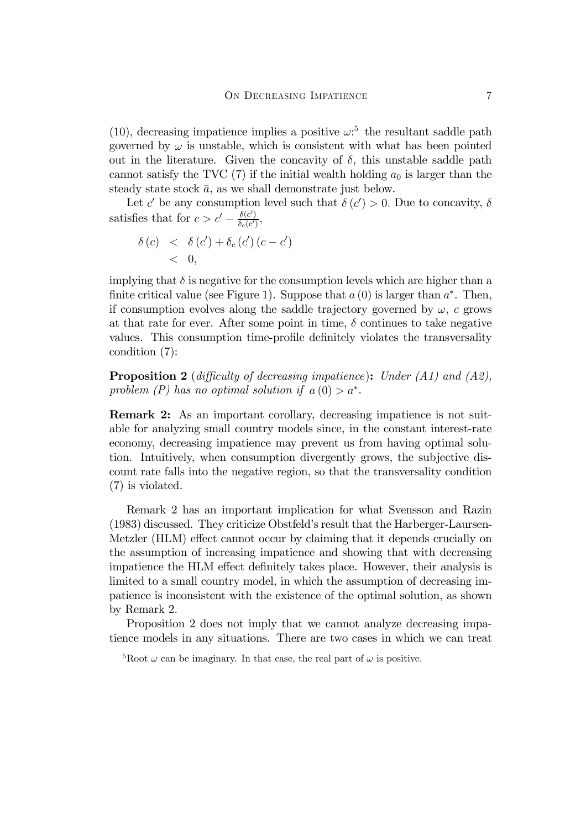(10), decreasing impatience implies a positive  $\omega$ :<sup>5</sup> the resultant saddle path governed by  $\omega$  is unstable, which is consistent with what has been pointed out in the literature. Given the concavity of  $\delta$ , this unstable saddle path cannot satisfy the TVC  $(7)$  if the initial wealth holding  $a_0$  is larger than the steady state stock  $\bar{a}$ , as we shall demonstrate just below.

Let c' be any consumption level such that  $\delta(c') > 0$ . Due to concavity,  $\delta$ satisfies that for  $c > c' - \frac{\delta(c')}{\delta_c(c')}$ ,

$$
\begin{array}{lcl} \delta(c) & < & \delta(c') + \delta_c(c') \, (c - c') \\ & < & 0, \end{array}
$$

implying that  $\delta$  is negative for the consumption levels which are higher than a finite critical value (see Figure 1). Suppose that  $a(0)$  is larger than  $a^*$ . Then, if consumption evolves along the saddle trajectory governed by  $\omega$ , c grows at that rate for ever. After some point in time,  $\delta$  continues to take negative values. This consumption time-profile definitely violates the transversality condition (7):

**Proposition 2** (difficulty of decreasing impatience): Under  $(A1)$  and  $(A2)$ , problem (P) has no optimal solution if  $a(0) > a^*$ .

Remark 2: As an important corollary, decreasing impatience is not suitable for analyzing small country models since, in the constant interest-rate economy, decreasing impatience may prevent us from having optimal solution. Intuitively, when consumption divergently grows, the subjective discount rate falls into the negative region, so that the transversality condition (7) is violated.

Remark 2 has an important implication for what Svensson and Razin (1983) discussed. They criticize Obstfeld's result that the Harberger-Laursen-Metzler (HLM) effect cannot occur by claiming that it depends crucially on the assumption of increasing impatience and showing that with decreasing impatience the HLM effect definitely takes place. However, their analysis is limited to a small country model, in which the assumption of decreasing impatience is inconsistent with the existence of the optimal solution, as shown by Remark 2.

Proposition 2 does not imply that we cannot analyze decreasing impatience models in any situations. There are two cases in which we can treat

<sup>&</sup>lt;sup>5</sup>Root  $\omega$  can be imaginary. In that case, the real part of  $\omega$  is positive.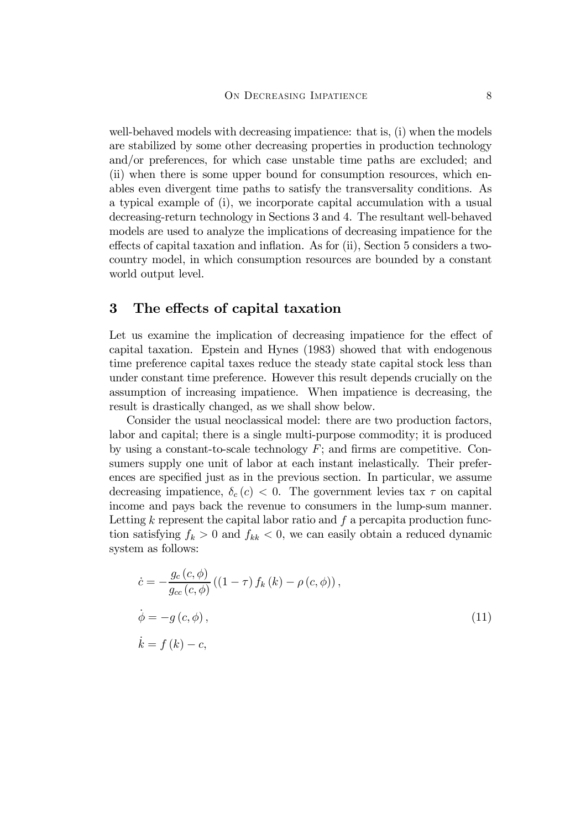well-behaved models with decreasing impatience: that is, (i) when the models are stabilized by some other decreasing properties in production technology and/or preferences, for which case unstable time paths are excluded; and (ii) when there is some upper bound for consumption resources, which enables even divergent time paths to satisfy the transversality conditions. As a typical example of (i), we incorporate capital accumulation with a usual decreasing-return technology in Sections 3 and 4. The resultant well-behaved models are used to analyze the implications of decreasing impatience for the effects of capital taxation and inflation. As for (ii), Section 5 considers a twocountry model, in which consumption resources are bounded by a constant world output level.

## 3 The effects of capital taxation

Let us examine the implication of decreasing impatience for the effect of capital taxation. Epstein and Hynes (1983) showed that with endogenous time preference capital taxes reduce the steady state capital stock less than under constant time preference. However this result depends crucially on the assumption of increasing impatience. When impatience is decreasing, the result is drastically changed, as we shall show below.

Consider the usual neoclassical model: there are two production factors, labor and capital; there is a single multi-purpose commodity; it is produced by using a constant-to-scale technology  $F$ ; and firms are competitive. Consumers supply one unit of labor at each instant inelastically. Their preferences are specified just as in the previous section. In particular, we assume decreasing impatience,  $\delta_c(c) < 0$ . The government levies tax  $\tau$  on capital income and pays back the revenue to consumers in the lump-sum manner. Letting  $k$  represent the capital labor ratio and  $f$  a percapita production function satisfying  $f_k > 0$  and  $f_{kk} < 0$ , we can easily obtain a reduced dynamic system as follows:

$$
\begin{aligned}\n\dot{c} &= -\frac{g_c(c,\phi)}{g_{cc}(c,\phi)} \left( (1-\tau) f_k(k) - \rho(c,\phi) \right), \\
\dot{\phi} &= -g(c,\phi), \\
\dot{k} &= f(k) - c,\n\end{aligned} \tag{11}
$$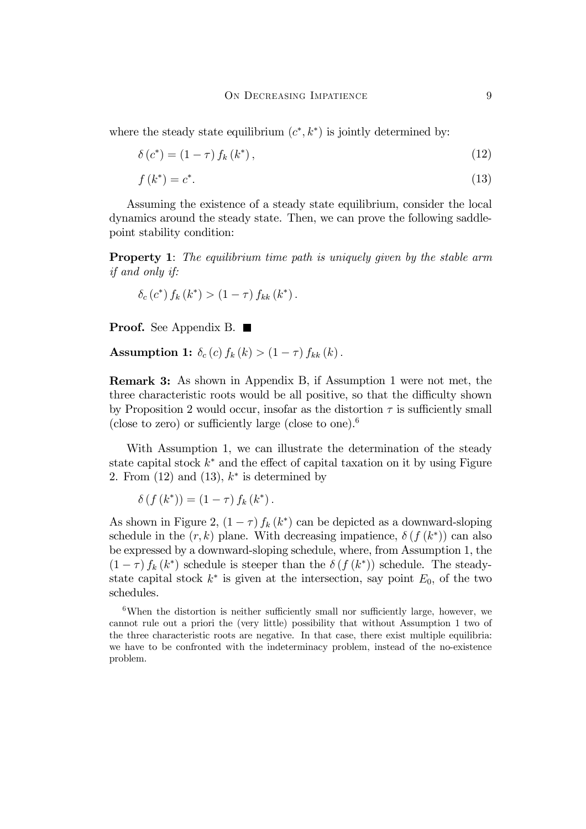where the steady state equilibrium  $(c^*, k^*)$  is jointly determined by:

$$
\delta\left(c^*\right) = \left(1 - \tau\right) f_k\left(k^*\right),\tag{12}
$$

$$
f(k^*) = c^*.\tag{13}
$$

Assuming the existence of a steady state equilibrium, consider the local dynamics around the steady state. Then, we can prove the following saddlepoint stability condition:

**Property 1**: The equilibrium time path is uniquely given by the stable arm if and only if:

$$
\delta_c(c^*) f_k(k^*) > (1 - \tau) f_{kk}(k^*).
$$

**Proof.** See Appendix B. ■

Assumption 1:  $\delta_c(c) f_k(k) > (1 - \tau) f_{kk}(k)$ .

Remark 3: As shown in Appendix B, if Assumption 1 were not met, the three characteristic roots would be all positive, so that the difficulty shown by Proposition 2 would occur, insofar as the distortion  $\tau$  is sufficiently small (close to zero) or sufficiently large (close to one).<sup>6</sup>

With Assumption 1, we can illustrate the determination of the steady state capital stock  $k^*$  and the effect of capital taxation on it by using Figure 2. From  $(12)$  and  $(13)$ ,  $k^*$  is determined by

$$
\delta(f(k^*)) = (1 - \tau) f_k(k^*).
$$

As shown in Figure 2,  $(1 - \tau) f_k(k^*)$  can be depicted as a downward-sloping schedule in the  $(r, k)$  plane. With decreasing impatience,  $\delta(f(k^*))$  can also be expressed by a downward-sloping schedule, where, from Assumption 1, the  $(1 - \tau) f_k(k^*)$  schedule is steeper than the  $\delta(f(k^*))$  schedule. The steadystate capital stock  $k^*$  is given at the intersection, say point  $E_0$ , of the two schedules.

 $6$ When the distortion is neither sufficiently small nor sufficiently large, however, we cannot rule out a priori the (very little) possibility that without Assumption 1 two of the three characteristic roots are negative. In that case, there exist multiple equilibria: we have to be confronted with the indeterminacy problem, instead of the no-existence problem.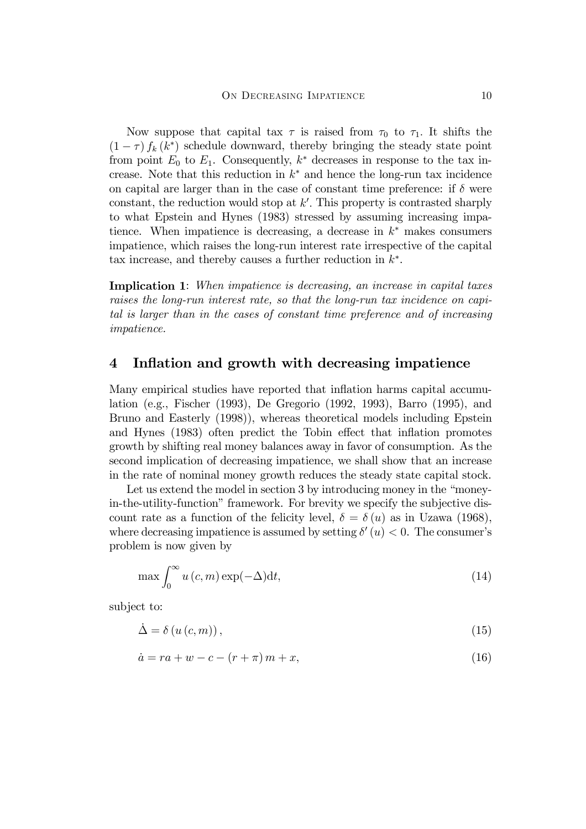Now suppose that capital tax  $\tau$  is raised from  $\tau_0$  to  $\tau_1$ . It shifts the  $(1 - \tau) f_k(k^*)$  schedule downward, thereby bringing the steady state point from point  $E_0$  to  $E_1$ . Consequently,  $k^*$  decreases in response to the tax increase. Note that this reduction in  $k^*$  and hence the long-run tax incidence on capital are larger than in the case of constant time preference: if  $\delta$  were constant, the reduction would stop at  $k'$ . This property is contrasted sharply to what Epstein and Hynes (1983) stressed by assuming increasing impatience. When impatience is decreasing, a decrease in  $k^*$  makes consumers impatience, which raises the long-run interest rate irrespective of the capital tax increase, and thereby causes a further reduction in  $k^*$ .

Implication 1: When impatience is decreasing, an increase in capital taxes raises the long-run interest rate, so that the long-run tax incidence on capital is larger than in the cases of constant time preference and of increasing impatience.

### 4 Inflation and growth with decreasing impatience

Many empirical studies have reported that inflation harms capital accumulation (e.g., Fischer (1993), De Gregorio (1992, 1993), Barro (1995), and Bruno and Easterly (1998)), whereas theoretical models including Epstein and Hynes (1983) often predict the Tobin effect that inflation promotes growth by shifting real money balances away in favor of consumption. As the second implication of decreasing impatience, we shall show that an increase in the rate of nominal money growth reduces the steady state capital stock.

Let us extend the model in section 3 by introducing money in the "moneyin-the-utility-function" framework. For brevity we specify the subjective discount rate as a function of the felicity level,  $\delta = \delta(u)$  as in Uzawa (1968), where decreasing impatience is assumed by setting  $\delta'(u) < 0$ . The consumer's problem is now given by

$$
\max \int_0^\infty u\left(c, m\right) \exp(-\Delta) \mathrm{d}t,\tag{14}
$$

subject to:

$$
\dot{\Delta} = \delta \left( u \left( c, m \right) \right),\tag{15}
$$

$$
\dot{a} = ra + w - c - (r + \pi) m + x,\tag{16}
$$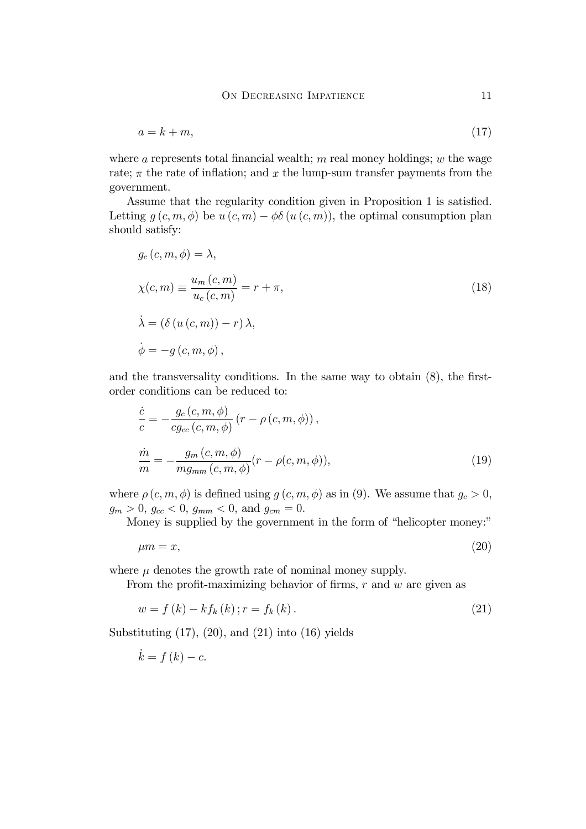$$
a = k + m,\tag{17}
$$

where a represents total financial wealth; m real money holdings;  $w$  the wage rate;  $\pi$  the rate of inflation; and x the lump-sum transfer payments from the government.

Assume that the regularity condition given in Proposition 1 is satisfied. Letting  $g(c, m, \phi)$  be  $u(c, m) - \phi\delta(u(c, m))$ , the optimal consumption plan should satisfy:

$$
g_c(c, m, \phi) = \lambda,
$$
  
\n
$$
\chi(c, m) \equiv \frac{u_m(c, m)}{u_c(c, m)} = r + \pi,
$$
  
\n
$$
\dot{\lambda} = (\delta(u(c, m)) - r) \lambda,
$$
  
\n
$$
\dot{\phi} = -g(c, m, \phi),
$$
\n(18)

and the transversality conditions. In the same way to obtain  $(8)$ , the firstorder conditions can be reduced to:

$$
\frac{\dot{c}}{c} = -\frac{g_c(c, m, \phi)}{cg_{cc}(c, m, \phi)} (r - \rho(c, m, \phi)),
$$
\n
$$
\frac{\dot{m}}{m} = -\frac{g_m(c, m, \phi)}{mg_{mm}(c, m, \phi)} (r - \rho(c, m, \phi)),
$$
\n(19)

where  $\rho(c, m, \phi)$  is defined using  $g(c, m, \phi)$  as in (9). We assume that  $g_c > 0$ ,  $g_m > 0$ ,  $g_{cc} < 0$ ,  $g_{mm} < 0$ , and  $g_{cm} = 0$ .

Money is supplied by the government in the form of "helicopter money:"

$$
\mu m = x,\tag{20}
$$

where  $\mu$  denotes the growth rate of nominal money supply.

From the profit-maximizing behavior of firms,  $r$  and  $w$  are given as

$$
w = f(k) - kf_k(k); r = f_k(k).
$$
 (21)

Substituting  $(17)$ ,  $(20)$ , and  $(21)$  into  $(16)$  yields

$$
\dot{k} = f(k) - c.
$$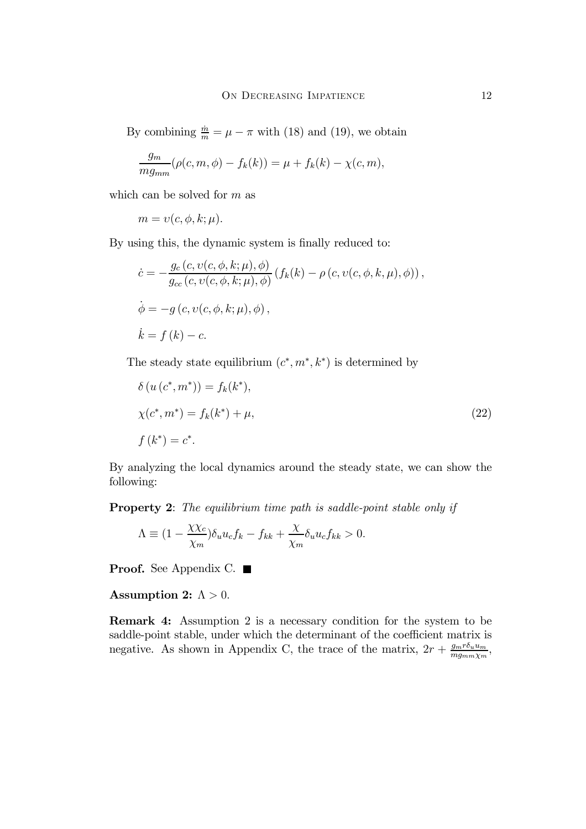By combining  $\frac{\dot{m}}{m} = \mu - \pi$  with (18) and (19), we obtain

$$
\frac{g_m}{mg_{mm}}(\rho(c, m, \phi) - f_k(k)) = \mu + f_k(k) - \chi(c, m),
$$

which can be solved for  $m$  as

$$
m = v(c, \phi, k; \mu).
$$

By using this, the dynamic system is finally reduced to:

$$
\begin{aligned}\n\dot{c} &= -\frac{g_c(c, v(c, \phi, k; \mu), \phi)}{g_{cc}(c, v(c, \phi, k; \mu), \phi)} (f_k(k) - \rho(c, v(c, \phi, k, \mu), \phi)), \\
\dot{\phi} &= -g(c, v(c, \phi, k; \mu), \phi), \\
\dot{k} &= f(k) - c.\n\end{aligned}
$$

The steady state equilibrium  $(c^*, m^*, k^*)$  is determined by

$$
\delta(u(c^*, m^*)) = f_k(k^*),
$$
  
\n
$$
\chi(c^*, m^*) = f_k(k^*) + \mu,
$$
  
\n
$$
f(k^*) = c^*.
$$
\n(22)

By analyzing the local dynamics around the steady state, we can show the following:

Property 2: The equilibrium time path is saddle-point stable only if

$$
\Lambda \equiv (1 - \frac{\chi \chi_c}{\chi_m}) \delta_u u_c f_k - f_{kk} + \frac{\chi}{\chi_m} \delta_u u_c f_{kk} > 0.
$$

**Proof.** See Appendix C. ■

#### Assumption 2:  $\Lambda > 0$ .

Remark 4: Assumption 2 is a necessary condition for the system to be saddle-point stable, under which the determinant of the coefficient matrix is negative. As shown in Appendix C, the trace of the matrix,  $2r + \frac{g_m r \delta_u u_m}{mg_{mm}\chi_m}$ ,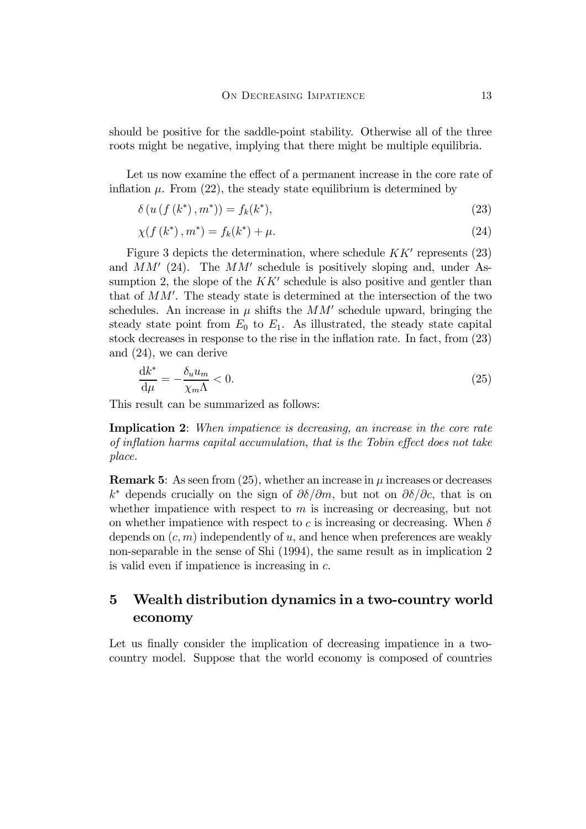should be positive for the saddle-point stability. Otherwise all of the three roots might be negative, implying that there might be multiple equilibria.

Let us now examine the effect of a permanent increase in the core rate of inflation  $\mu$ . From (22), the steady state equilibrium is determined by

$$
\delta(u(f(k^*), m^*)) = f_k(k^*),
$$
\n(23)

$$
\chi(f(k^*), m^*) = f_k(k^*) + \mu.
$$
\n(24)

Figure 3 depicts the determination, where schedule  $KK'$  represents (23) and  $MM'$  (24). The  $MM'$  schedule is positively sloping and, under Assumption 2, the slope of the  $KK'$  schedule is also positive and gentler than that of  $MM'$ . The steady state is determined at the intersection of the two schedules. An increase in  $\mu$  shifts the  $MM'$  schedule upward, bringing the steady state point from  $E_0$  to  $E_1$ . As illustrated, the steady state capital stock decreases in response to the rise in the inflation rate. In fact, from  $(23)$ and (24), we can derive

$$
\frac{\mathrm{d}k^*}{\mathrm{d}\mu} = -\frac{\delta_u u_m}{\chi_m \Lambda} < 0. \tag{25}
$$

This result can be summarized as follows:

Implication 2: When impatience is decreasing, an increase in the core rate of inflation harms capital accumulation, that is the Tobin effect does not take place.

**Remark 5:** As seen from (25), whether an increase in  $\mu$  increases or decreases  $k^*$  depends crucially on the sign of  $\partial \delta/\partial m$ , but not on  $\partial \delta/\partial c$ , that is on whether impatience with respect to  $m$  is increasing or decreasing, but not on whether impatience with respect to c is increasing or decreasing. When  $\delta$ depends on  $(c, m)$  independently of u, and hence when preferences are weakly non-separable in the sense of Shi (1994), the same result as in implication 2 is valid even if impatience is increasing in  $c$ .

# 5 Wealth distribution dynamics in a two-country world economy

Let us finally consider the implication of decreasing impatience in a twocountry model. Suppose that the world economy is composed of countries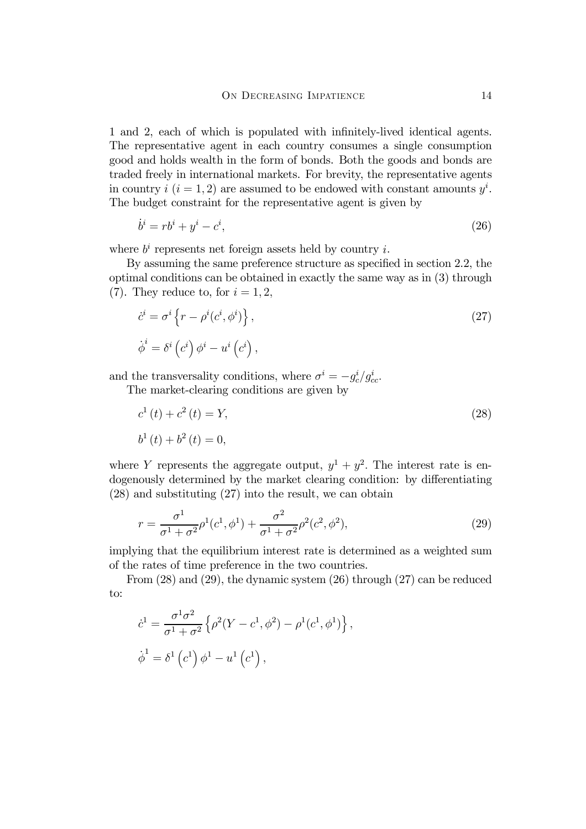1 and 2, each of which is populated with infinitely-lived identical agents. The representative agent in each country consumes a single consumption good and holds wealth in the form of bonds. Both the goods and bonds are traded freely in international markets. For brevity, the representative agents in country  $i$   $(i = 1, 2)$  are assumed to be endowed with constant amounts  $y^{i}$ . The budget constraint for the representative agent is given by

$$
\dot{b}^i = rb^i + y^i - c^i,\tag{26}
$$

where  $b^i$  represents net foreign assets held by country i.

By assuming the same preference structure as specified in section 2.2, the optimal conditions can be obtained in exactly the same way as in (3) through (7). They reduce to, for  $i = 1, 2$ ,

$$
\dot{c}^i = \sigma^i \left\{ r - \rho^i (c^i, \phi^i) \right\},\tag{27}
$$
\n
$$
\dot{\phi}^i = \delta^i (c^i) \phi^i - u^i (c^i),
$$

and the transversality conditions, where  $\sigma^i = -g_c^i/g_{cc}^i$ .

The market-clearing conditions are given by

$$
c^{1}(t) + c^{2}(t) = Y,
$$
  
\n
$$
b^{1}(t) + b^{2}(t) = 0,
$$
\n(28)

where Y represents the aggregate output,  $y^1 + y^2$ . The interest rate is endogenously determined by the market clearing condition: by differentiating (28) and substituting (27) into the result, we can obtain

$$
r = \frac{\sigma^1}{\sigma^1 + \sigma^2} \rho^1(c^1, \phi^1) + \frac{\sigma^2}{\sigma^1 + \sigma^2} \rho^2(c^2, \phi^2),
$$
 (29)

implying that the equilibrium interest rate is determined as a weighted sum of the rates of time preference in the two countries.

From (28) and (29), the dynamic system (26) through (27) can be reduced to:

$$
\dot{c}^{1} = \frac{\sigma^{1} \sigma^{2}}{\sigma^{1} + \sigma^{2}} \left\{ \rho^{2} (Y - c^{1}, \phi^{2}) - \rho^{1} (c^{1}, \phi^{1}) \right\},
$$
  

$$
\dot{\phi}^{1} = \delta^{1} (c^{1}) \phi^{1} - u^{1} (c^{1}),
$$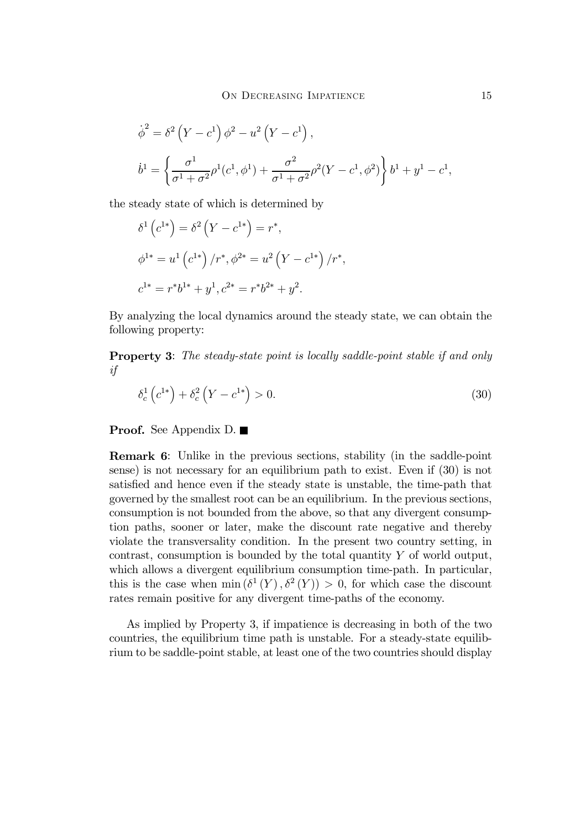$$
\dot{\phi}^2 = \delta^2 (Y - c^1) \phi^2 - u^2 (Y - c^1),
$$
  

$$
\dot{b}^1 = \left\{ \frac{\sigma^1}{\sigma^1 + \sigma^2} \rho^1 (c^1, \phi^1) + \frac{\sigma^2}{\sigma^1 + \sigma^2} \rho^2 (Y - c^1, \phi^2) \right\} b^1 + y^1 - c^1,
$$

the steady state of which is determined by

$$
\delta^{1}(c^{1*}) = \delta^{2}(Y - c^{1*}) = r^{*},
$$
  
\n
$$
\phi^{1*} = u^{1}(c^{1*})/r^{*}, \phi^{2*} = u^{2}(Y - c^{1*})/r^{*},
$$
  
\n
$$
c^{1*} = r^{*}b^{1*} + y^{1}, c^{2*} = r^{*}b^{2*} + y^{2}.
$$

By analyzing the local dynamics around the steady state, we can obtain the following property:

Property 3: The steady-state point is locally saddle-point stable if and only if

$$
\delta_c^1(c^{1*}) + \delta_c^2(Y - c^{1*}) > 0.
$$
\n(30)

**Proof.** See Appendix D. ■

Remark 6: Unlike in the previous sections, stability (in the saddle-point sense) is not necessary for an equilibrium path to exist. Even if (30) is not satisfied and hence even if the steady state is unstable, the time-path that governed by the smallest root can be an equilibrium. In the previous sections, consumption is not bounded from the above, so that any divergent consumption paths, sooner or later, make the discount rate negative and thereby violate the transversality condition. In the present two country setting, in contrast, consumption is bounded by the total quantity Y of world output, which allows a divergent equilibrium consumption time-path. In particular, this is the case when min  $(\delta^1(Y), \delta^2(Y)) > 0$ , for which case the discount rates remain positive for any divergent time-paths of the economy.

As implied by Property 3, if impatience is decreasing in both of the two countries, the equilibrium time path is unstable. For a steady-state equilibrium to be saddle-point stable, at least one of the two countries should display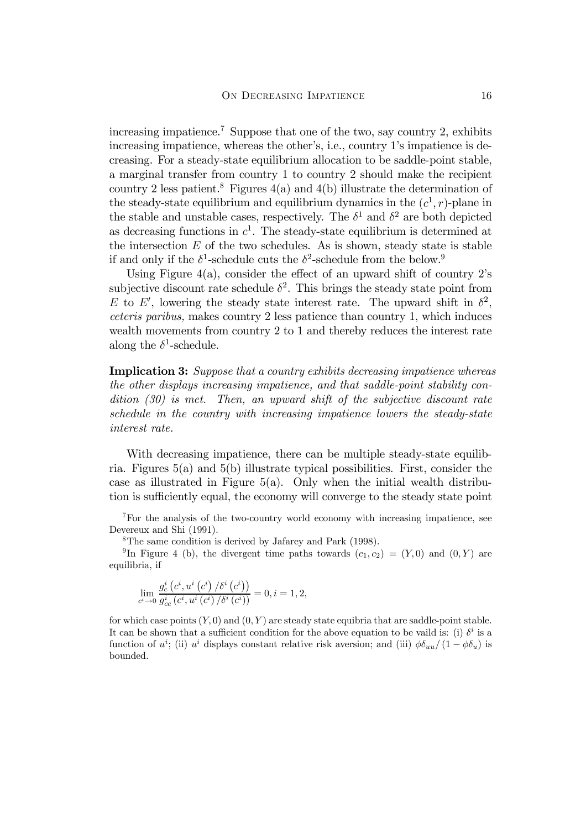increasing impatience.<sup>7</sup> Suppose that one of the two, say country 2, exhibits increasing impatience, whereas the other's, i.e., country 1's impatience is decreasing. For a steady-state equilibrium allocation to be saddle-point stable, a marginal transfer from country 1 to country 2 should make the recipient country 2 less patient.<sup>8</sup> Figures  $4(a)$  and  $4(b)$  illustrate the determination of the steady-state equilibrium and equilibrium dynamics in the  $(c^1, r)$ -plane in the stable and unstable cases, respectively. The  $\delta^1$  and  $\delta^2$  are both depicted as decreasing functions in  $c^1$ . The steady-state equilibrium is determined at the intersection  $E$  of the two schedules. As is shown, steady state is stable if and only if the  $\delta^1$ -schedule cuts the  $\delta^2$ -schedule from the below.<sup>9</sup>

Using Figure  $4(a)$ , consider the effect of an upward shift of country 2's subjective discount rate schedule  $\delta^2$ . This brings the steady state point from E to E', lowering the steady state interest rate. The upward shift in  $\delta^2$ , ceteris paribus, makes country 2 less patience than country 1, which induces wealth movements from country 2 to 1 and thereby reduces the interest rate along the  $\delta^1$ -schedule.

Implication 3: Suppose that a country exhibits decreasing impatience whereas the other displays increasing impatience, and that saddle-point stability condition (30) is met. Then, an upward shift of the subjective discount rate schedule in the country with increasing impatience lowers the steady-state interest rate.

With decreasing impatience, there can be multiple steady-state equilibria. Figures 5(a) and 5(b) illustrate typical possibilities. First, consider the case as illustrated in Figure 5(a). Only when the initial wealth distribution is sufficiently equal, the economy will converge to the steady state point

7For the analysis of the two-country world economy with increasing impatience, see Devereux and Shi (1991).

8The same condition is derived by Jafarey and Park (1998).

<sup>9</sup>In Figure 4 (b), the divergent time paths towards  $(c_1, c_2)=(Y, 0)$  and  $(0, Y)$  are equilibria, if

$$
\lim_{c^i \to 0} \frac{g_c^i\left(c^i, u^i\left(c^i\right)/\delta^i\left(c^i\right)\right)}{g_{cc}^i\left(c^i, u^i\left(c^i\right)/\delta^i\left(c^i\right)\right)} = 0, i = 1, 2,
$$

for which case points  $(Y, 0)$  and  $(0, Y)$  are steady state equibria that are saddle-point stable. It can be shown that a sufficient condition for the above equation to be vaild is: (i)  $\delta^i$  is a function of  $u^i$ ; (ii)  $u^i$  displays constant relative risk aversion; and (iii)  $\phi \delta_{uu}/(1 - \phi \delta_u)$  is bounded.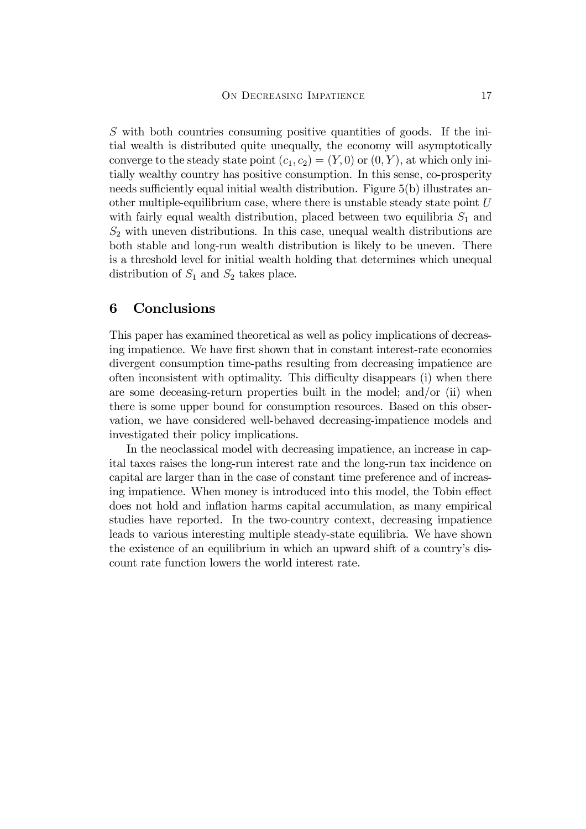S with both countries consuming positive quantities of goods. If the initial wealth is distributed quite unequally, the economy will asymptotically converge to the steady state point  $(c_1, c_2)=(Y, 0)$  or  $(0, Y)$ , at which only initially wealthy country has positive consumption. In this sense, co-prosperity needs sufficiently equal initial wealth distribution. Figure 5(b) illustrates another multiple-equilibrium case, where there is unstable steady state point  $U$ with fairly equal wealth distribution, placed between two equilibria  $S_1$  and  $S_2$  with uneven distributions. In this case, unequal wealth distributions are both stable and long-run wealth distribution is likely to be uneven. There is a threshold level for initial wealth holding that determines which unequal distribution of  $S_1$  and  $S_2$  takes place.

### 6 Conclusions

This paper has examined theoretical as well as policy implications of decreasing impatience. We have first shown that in constant interest-rate economies divergent consumption time-paths resulting from decreasing impatience are often inconsistent with optimality. This difficulty disappears (i) when there are some deceasing-return properties built in the model; and/or (ii) when there is some upper bound for consumption resources. Based on this observation, we have considered well-behaved decreasing-impatience models and investigated their policy implications.

In the neoclassical model with decreasing impatience, an increase in capital taxes raises the long-run interest rate and the long-run tax incidence on capital are larger than in the case of constant time preference and of increasing impatience. When money is introduced into this model, the Tobin effect does not hold and inflation harms capital accumulation, as many empirical studies have reported. In the two-country context, decreasing impatience leads to various interesting multiple steady-state equilibria. We have shown the existence of an equilibrium in which an upward shift of a country's discount rate function lowers the world interest rate.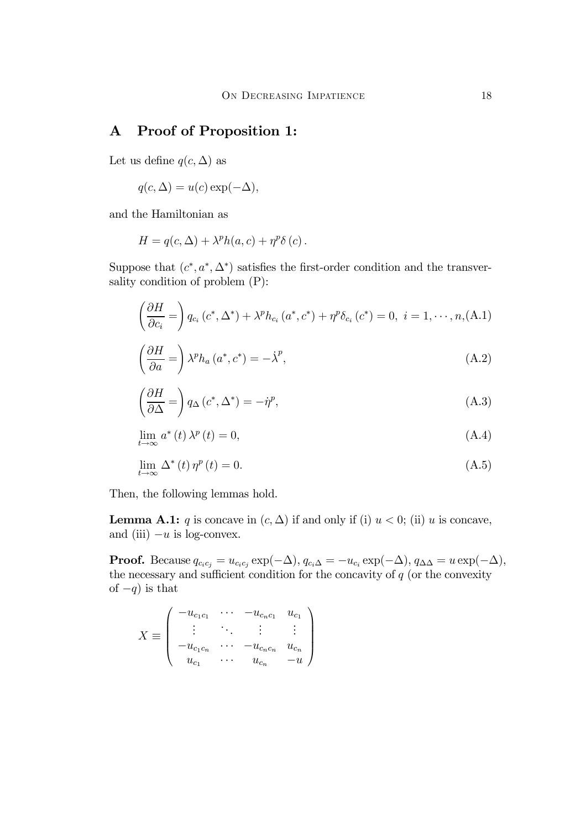# A Proof of Proposition 1:

Let us define  $q(c, \Delta)$  as

$$
q(c, \Delta) = u(c) \exp(-\Delta),
$$

and the Hamiltonian as

$$
H = q(c, \Delta) + \lambda^{p} h(a, c) + \eta^{p} \delta(c).
$$

Suppose that  $(c^*, a^*, \Delta^*)$  satisfies the first-order condition and the transversality condition of problem (P):

$$
\left(\frac{\partial H}{\partial c_i}\right)q_{c_i}(c^*,\Delta^*)+\lambda^p h_{c_i}(a^*,c^*)+\eta^p \delta_{c_i}(c^*)=0, i=1,\cdots,n,(A.1)
$$

$$
\left(\frac{\partial H}{\partial a}\right) \lambda^p h_a(a^*, c^*) = -\dot{\lambda}^p,\tag{A.2}
$$

$$
\left(\frac{\partial H}{\partial \Delta} = \right) q_{\Delta} (c^*, \Delta^*) = -\dot{\eta}^p,\tag{A.3}
$$

$$
\lim_{t \to \infty} a^*(t) \lambda^p(t) = 0,
$$
\n(A.4)

$$
\lim_{t \to \infty} \Delta^*(t) \eta^p(t) = 0. \tag{A.5}
$$

Then, the following lemmas hold.

**Lemma A.1:** q is concave in  $(c, \Delta)$  if and only if (i)  $u < 0$ ; (ii) u is concave, and (iii)  $-u$  is log-convex.

**Proof.** Because  $q_{c_ic_j} = u_{c_ic_j} \exp(-\Delta), q_{c_i\Delta} = -u_{c_i} \exp(-\Delta), q_{\Delta\Delta} = u \exp(-\Delta),$ the necessary and sufficient condition for the concavity of  $q$  (or the convexity of  $-q$ ) is that

$$
X \equiv \left( \begin{array}{cccc} -u_{c_1c_1} & \cdots & -u_{c_nc_1} & u_{c_1} \\ \vdots & \ddots & \vdots & \vdots \\ -u_{c_1c_n} & \cdots & -u_{c_nc_n} & u_{c_n} \\ u_{c_1} & \cdots & u_{c_n} & -u \end{array} \right)
$$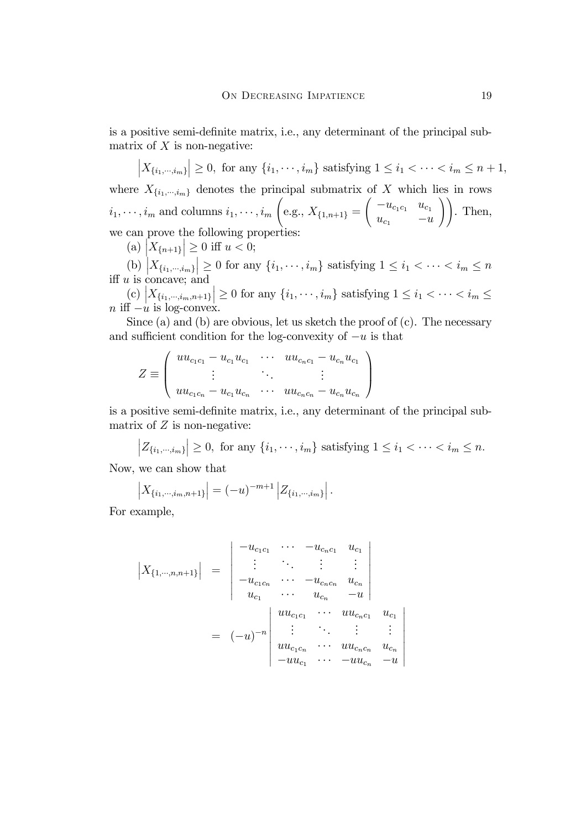is a positive semi-definite matrix, i.e., any determinant of the principal submatrix of  $X$  is non-negative:

$$
\left|X_{\{i_1,\cdots,i_m\}}\right| \ge 0, \text{ for any } \{i_1,\cdots,i_m\} \text{ satisfying } 1 \le i_1 < \cdots < i_m \le n+1,
$$

where  $X_{\{i_1,\dots,i_m\}}$  denotes the principal submatrix of X which lies in rows  $i_1, \dots, i_m$  and columns  $i_1, \dots, i_m$  $\sqrt{2}$ e.g.,  $X_{\{1,n+1\}} =$  $\int -u_{c_1c_1} u_{c_1}$  $u_{c_1}$   $-u$ !!. Then, we can prove the following properties:

(a)  $\left| X_{\{n+1\}} \right| \geq 0$  iff  $u < 0$ ;

(b)  $|X_{\{i_1,\dots,i_m\}}| \ge 0$  for any  $\{i_1,\dots,i_m\}$  satisfying  $1 \le i_1 < \dots < i_m \le n$ iff  $u$  is concave; and

(c)  $\left| X_{\{i_1,\dots,i_m,n+1\}} \right| \geq 0$  for any  $\{i_1,\dots,i_m\}$  satisfying  $1 \leq i_1 < \dots < i_m \leq n$  $n \text{ iff } -u \text{ is log-convex.}$ 

Since (a) and (b) are obvious, let us sketch the proof of  $(c)$ . The necessary and sufficient condition for the log-convexity of  $-u$  is that

$$
Z \equiv \left( \begin{array}{ccc} u u_{c_1 c_1} - u_{c_1} u_{c_1} & \cdots & u u_{c_n c_1} - u_{c_n} u_{c_1} \\ \vdots & \ddots & \vdots \\ u u_{c_1 c_n} - u_{c_1} u_{c_n} & \cdots & u u_{c_n c_n} - u_{c_n} u_{c_n} \end{array} \right)
$$

is a positive semi-definite matrix, i.e., any determinant of the principal submatrix of  $Z$  is non-negative:

 $|Z_{\{i_1,\dots,i_m\}}| \geq 0$ , for any  $\{i_1,\dots,i_m\}$  satisfying  $1 \leq i_1 < \dots < i_m \leq n$ .

Now, we can show that

$$
\left| X_{\{i_1,\dots,i_m,n+1\}} \right| = (-u)^{-m+1} \left| Z_{\{i_1,\dots,i_m\}} \right|.
$$

For example,

 $\begin{array}{c} \hline \end{array}$  $\overline{\phantom{a}}$ 

$$
\begin{vmatrix} X_{\{1,\cdots,n,n+1\}} \end{vmatrix} = \begin{vmatrix} -u_{c_1c_1} & \cdots & -u_{c_nc_1} & u_{c_1} \\ \vdots & \ddots & \vdots & \vdots \\ -u_{c_1c_n} & \cdots & -u_{c_nc_n} & u_{c_n} \\ u_{c_1} & \cdots & u_{c_n} & -u \end{vmatrix}
$$
  
=  $(-u)^{-n} \begin{vmatrix} u u_{c_1c_1} & \cdots & u u_{c_nc_1} & u_{c_1} \\ \vdots & \ddots & \vdots & \vdots \\ u u_{c_1c_n} & \cdots & u u_{c_nc_n} & u_{c_n} \\ -u u_{c_1} & \cdots & -u u_{c_n} & -u \end{vmatrix}$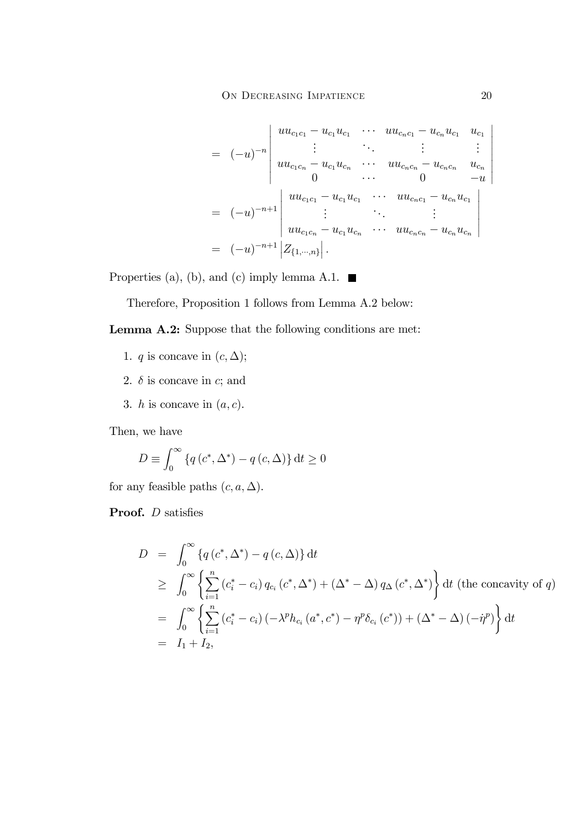$$
= (-u)^{-n} \begin{vmatrix} uu_{c_1c_1} - u_{c_1}u_{c_1} & \cdots & uu_{c_nc_1} - u_{c_n}u_{c_1} & u_{c_1} \\ \vdots & \ddots & \vdots & \vdots \\ uu_{c_1c_n} - u_{c_1}u_{c_n} & \cdots & uu_{c_nc_n} - u_{c_nc_n} & u_{c_n} \\ 0 & \cdots & 0 & -u \end{vmatrix}
$$
  
=  $(-u)^{-n+1} \begin{vmatrix} uu_{c_1c_1} - u_{c_1}u_{c_1} & \cdots & uu_{c_nc_1} - u_{c_n}u_{c_1} \\ \vdots & \ddots & \vdots \\ uu_{c_1c_n} - u_{c_1}u_{c_n} & \cdots & uu_{c_nc_n} - u_{c_n}u_{c_n} \end{vmatrix}$   
=  $(-u)^{-n+1} \begin{vmatrix} Z_{\{1,\cdots,n\}} \end{vmatrix}.$ 

Properties (a), (b), and (c) imply lemma A.1.  $\blacksquare$ 

Therefore, Proposition 1 follows from Lemma A.2 below:

Lemma A.2: Suppose that the following conditions are met:

- 1.  $q$  is concave in  $(c, \Delta);$
- 2.  $\delta$  is concave in c; and
- 3. *h* is concave in  $(a, c)$ .

Then, we have

$$
D \equiv \int_0^\infty \left\{ q\left(c^*, \Delta^*\right) - q\left(c, \Delta\right) \right\} \mathrm{d}t \ge 0
$$

for any feasible paths  $(c, a, \Delta)$ .

**Proof.**  $D$  satisfies

$$
D = \int_0^\infty \left\{ q(c^*, \Delta^*) - q(c, \Delta) \right\} dt
$$
  
\n
$$
\geq \int_0^\infty \left\{ \sum_{i=1}^n (c_i^* - c_i) q_{c_i} (c^*, \Delta^*) + (\Delta^* - \Delta) q_{\Delta} (c^*, \Delta^*) \right\} dt \text{ (the concavity of } q)
$$
  
\n
$$
= \int_0^\infty \left\{ \sum_{i=1}^n (c_i^* - c_i) (-\lambda^p h_{c_i} (a^*, c^*) - \eta^p \delta_{c_i} (c^*)) + (\Delta^* - \Delta) (-\eta^p) \right\} dt
$$
  
\n
$$
= I_1 + I_2,
$$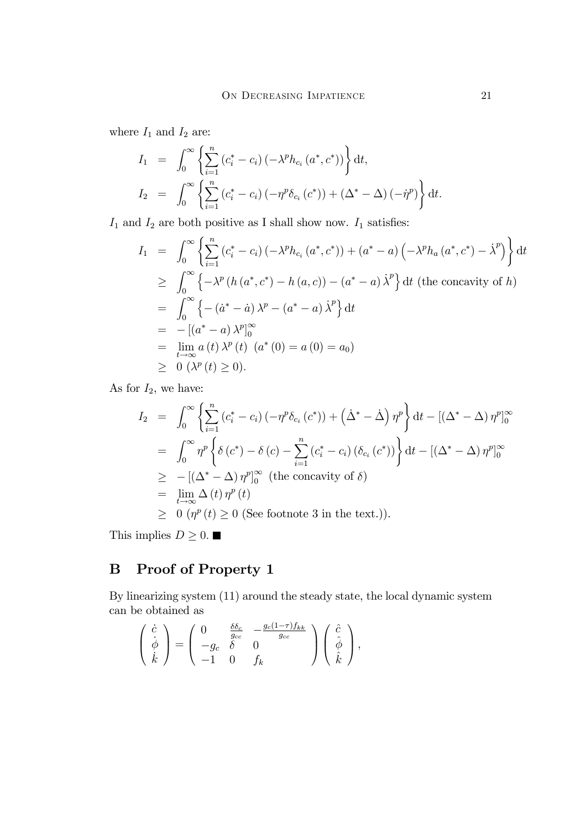where  $\mathcal{I}_1$  and  $\mathcal{I}_2$  are:

$$
I_1 = \int_0^\infty \left\{ \sum_{i=1}^n (c_i^* - c_i) \left( -\lambda^p h_{c_i} (a^*, c^*) \right) \right\} dt,
$$
  
\n
$$
I_2 = \int_0^\infty \left\{ \sum_{i=1}^n (c_i^* - c_i) \left( -\eta^p \delta_{c_i} (c^*) \right) + (\Delta^* - \Delta) \left( -\eta^p \right) \right\} dt.
$$

 $\mathcal{I}_1$  and  $\mathcal{I}_2$  are both positive as I shall show now.  $\mathcal{I}_1$  satisfies:

$$
I_{1} = \int_{0}^{\infty} \left\{ \sum_{i=1}^{n} (c_{i}^{*} - c_{i}) \left( -\lambda^{p} h_{c_{i}} \left( a^{*}, c^{*} \right) \right) + \left( a^{*} - a \right) \left( -\lambda^{p} h_{a} \left( a^{*}, c^{*} \right) - \dot{\lambda}^{p} \right) \right\} dt
$$
  
\n
$$
\geq \int_{0}^{\infty} \left\{ -\lambda^{p} \left( h \left( a^{*}, c^{*} \right) - h \left( a, c \right) \right) - \left( a^{*} - a \right) \dot{\lambda}^{p} \right\} dt \text{ (the concavity of } h)
$$
  
\n
$$
= \int_{0}^{\infty} \left\{ -\left( \dot{a}^{*} - \dot{a} \right) \lambda^{p} - \left( a^{*} - a \right) \dot{\lambda}^{p} \right\} dt
$$
  
\n
$$
= -\left[ \left( a^{*} - a \right) \lambda^{p} \right]_{0}^{\infty}
$$
  
\n
$$
= \lim_{t \to \infty} a \left( t \right) \lambda^{p} \left( t \right) \left( a^{*} \left( 0 \right) = a \left( 0 \right) = a_{0} \right)
$$
  
\n
$$
\geq 0 \left( \lambda^{p} \left( t \right) \geq 0 \right).
$$

As for  $I_2$ , we have:

$$
I_2 = \int_0^\infty \left\{ \sum_{i=1}^n (c_i^* - c_i) \left( -\eta^p \delta_{c_i}(c^*) \right) + \left( \dot{\Delta}^* - \dot{\Delta} \right) \eta^p \right\} dt - \left[ \left( \Delta^* - \Delta \right) \eta^p \right]_0^\infty
$$
  
\n
$$
= \int_0^\infty \eta^p \left\{ \delta(c^*) - \delta(c) - \sum_{i=1}^n (c_i^* - c_i) \left( \delta_{c_i}(c^*) \right) \right\} dt - \left[ \left( \Delta^* - \Delta \right) \eta^p \right]_0^\infty
$$
  
\n
$$
\geq - \left[ \left( \Delta^* - \Delta \right) \eta^p \right]_0^\infty \text{ (the concavity of } \delta)
$$
  
\n
$$
= \lim_{t \to \infty} \Delta(t) \eta^p(t)
$$
  
\n
$$
\geq 0 \left( \eta^p(t) \geq 0 \text{ (See footnote 3 in the text.)} \right).
$$

This implies  $D\geq 0.$   $\blacksquare$ 

# B Proof of Property 1

By linearizing system (11) around the steady state, the local dynamic system can be obtained as

$$
\begin{pmatrix}\n\dot{c} \\
\dot{\phi} \\
\dot{k}\n\end{pmatrix} = \begin{pmatrix}\n0 & \frac{\delta \delta_c}{g_{cc}} & -\frac{g_c(1-\tau)f_{kk}}{g_{cc}} \\
-g_c & \delta & 0 \\
-1 & 0 & f_k\n\end{pmatrix} \begin{pmatrix}\n\hat{c} \\
\hat{\phi} \\
\hat{k}\n\end{pmatrix},
$$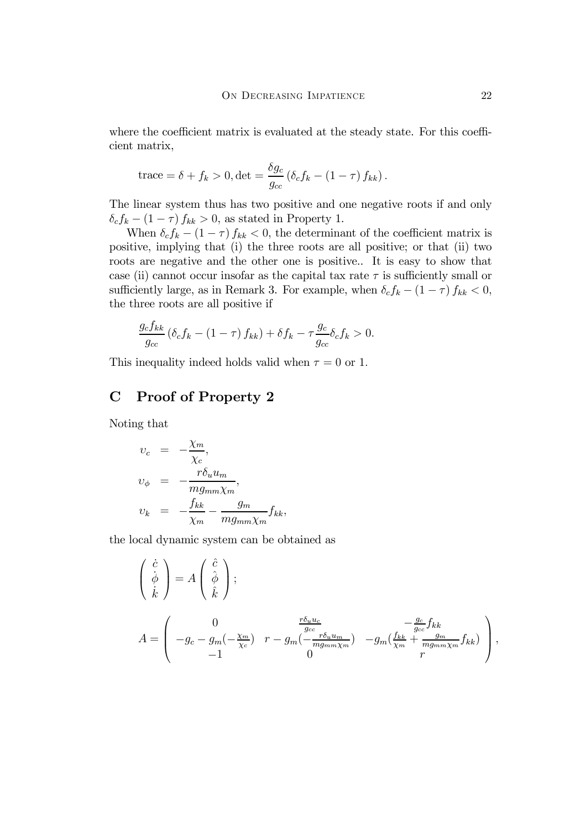where the coefficient matrix is evaluated at the steady state. For this coefficient matrix,

trace = 
$$
\delta + f_k > 0
$$
, det =  $\frac{\delta g_c}{g_{cc}} (\delta_c f_k - (1 - \tau) f_{kk})$ .

The linear system thus has two positive and one negative roots if and only  $\delta_c f_k - (1 - \tau) f_{kk} > 0$ , as stated in Property 1.

When  $\delta_c f_k - (1 - \tau) f_{kk} < 0$ , the determinant of the coefficient matrix is positive, implying that (i) the three roots are all positive; or that (ii) two roots are negative and the other one is positive.. It is easy to show that case (ii) cannot occur insofar as the capital tax rate  $\tau$  is sufficiently small or sufficiently large, as in Remark 3. For example, when  $\delta_c f_k - (1 - \tau) f_{kk} < 0$ , the three roots are all positive if

$$
\frac{g_c f_{kk}}{g_{cc}} \left( \delta_c f_k - (1 - \tau) f_{kk} \right) + \delta f_k - \tau \frac{g_c}{g_{cc}} \delta_c f_k > 0.
$$

This inequality indeed holds valid when  $\tau = 0$  or 1.

## C Proof of Property 2

Noting that

$$
v_c = -\frac{\chi_m}{\chi_c},
$$
  
\n
$$
v_{\phi} = -\frac{r\delta_u u_m}{mg_{mm}\chi_m},
$$
  
\n
$$
v_k = -\frac{f_{kk}}{\chi_m} - \frac{g_m}{mg_{mm}\chi_m}f_{kk},
$$

the local dynamic system can be obtained as

$$
\begin{pmatrix}\n\dot{c} \\
\dot{\phi} \\
\dot{k}\n\end{pmatrix} = A \begin{pmatrix}\n\hat{c} \\
\hat{\phi} \\
\hat{k}\n\end{pmatrix};
$$
\n
$$
A = \begin{pmatrix}\n0 & \frac{r\delta_u u_c}{g_{cc}} & -\frac{g_c}{g_{cc}}f_{kk} \\
-g_c - g_m(-\frac{\chi_m}{\chi_c}) & r - g_m(-\frac{r\delta_u u_m}{mg_{mm}\chi_m}) & -g_m(\frac{f_{kk}}{\chi_m} + \frac{g_m}{mg_{mm}\chi_m}f_{kk}) \\
-1 & 0 & r\n\end{pmatrix},
$$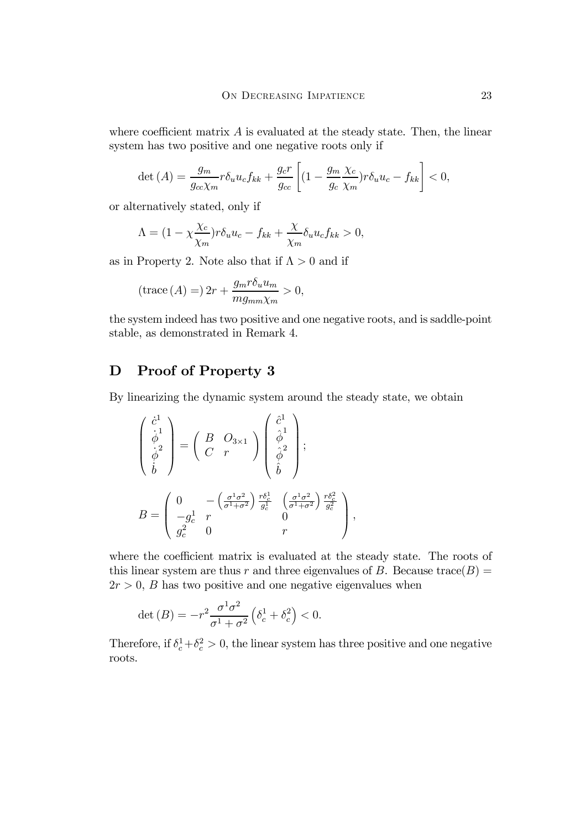where coefficient matrix  $\vec{A}$  is evaluated at the steady state. Then, the linear system has two positive and one negative roots only if

$$
\det\left(A\right) = \frac{g_m}{g_{cc}\chi_m} r \delta_u u_c f_{kk} + \frac{g_c r}{g_{cc}} \left[ (1 - \frac{g_m}{g_c} \frac{\chi_c}{\chi_m}) r \delta_u u_c - f_{kk} \right] < 0,
$$

or alternatively stated, only if

$$
\Lambda = (1 - \chi \frac{\chi_c}{\chi_m}) r \delta_u u_c - f_{kk} + \frac{\chi}{\chi_m} \delta_u u_c f_{kk} > 0,
$$

as in Property 2. Note also that if  $\Lambda > 0$  and if

$$
(\text{trace}\,(A) = 2r + \frac{g_m r \delta_u u_m}{m g_{mm} \chi_m} > 0,
$$

the system indeed has two positive and one negative roots, and is saddle-point stable, as demonstrated in Remark 4.

## D Proof of Property 3

By linearizing the dynamic system around the steady state, we obtain

$$
\begin{pmatrix}\n\dot{c}^{1} \\
\dot{\phi}^{1} \\
\dot{\phi}^{2} \\
\dot{b}\n\end{pmatrix} = \begin{pmatrix}\nB & O_{3\times 1} \\
C & r\n\end{pmatrix}\n\begin{pmatrix}\n\dot{c}^{1} \\
\dot{\phi}^{1} \\
\dot{\phi}^{2} \\
\dot{b}\n\end{pmatrix};
$$
\n
$$
B = \begin{pmatrix}\n0 & -\left(\frac{\sigma^{1}\sigma^{2}}{\sigma^{1} + \sigma^{2}}\right) \frac{r\delta_{c}^{1}}{g_{c}^{1}} & \left(\frac{\sigma^{1}\sigma^{2}}{\sigma^{1} + \sigma^{2}}\right) \frac{r\delta_{c}^{2}}{g_{c}^{2}} \\
-g_{c}^{1} & r & 0 \\
g_{c}^{2} & 0 & r\n\end{pmatrix},
$$

where the coefficient matrix is evaluated at the steady state. The roots of this linear system are thus r and three eigenvalues of B. Because trace( $B$ ) =  $2r > 0$ , B has two positive and one negative eigenvalues when

$$
\det(B) = -r^2 \frac{\sigma^1 \sigma^2}{\sigma^1 + \sigma^2} \left( \delta_c^1 + \delta_c^2 \right) < 0.
$$

Therefore, if  $\delta_c^1 + \delta_c^2 > 0$ , the linear system has three positive and one negative roots.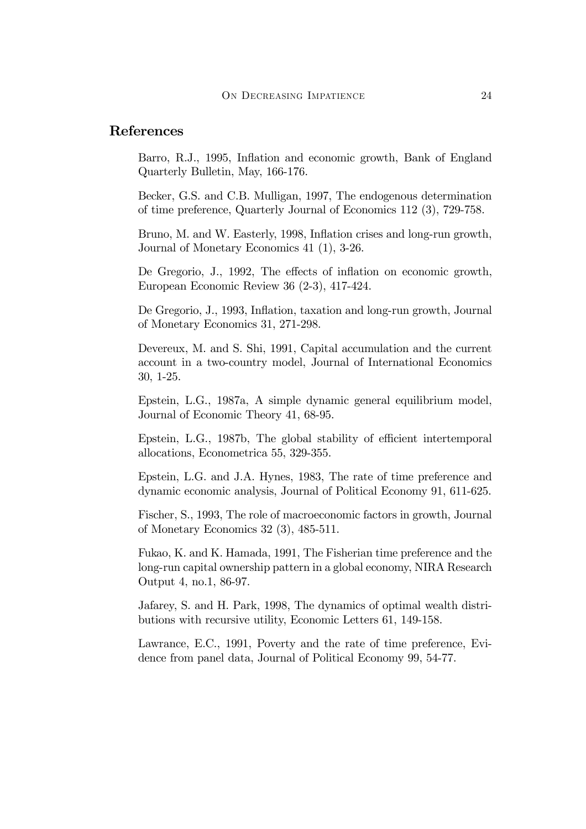#### References

Barro, R.J., 1995, Inflation and economic growth, Bank of England Quarterly Bulletin, May, 166-176.

Becker, G.S. and C.B. Mulligan, 1997, The endogenous determination of time preference, Quarterly Journal of Economics 112 (3), 729-758.

Bruno, M. and W. Easterly, 1998, Inflation crises and long-run growth, Journal of Monetary Economics 41 (1), 3-26.

De Gregorio, J., 1992, The effects of inflation on economic growth, European Economic Review 36 (2-3), 417-424.

De Gregorio, J., 1993, Inflation, taxation and long-run growth, Journal of Monetary Economics 31, 271-298.

Devereux, M. and S. Shi, 1991, Capital accumulation and the current account in a two-country model, Journal of International Economics 30, 1-25.

Epstein, L.G., 1987a, A simple dynamic general equilibrium model, Journal of Economic Theory 41, 68-95.

Epstein, L.G., 1987b, The global stability of efficient intertemporal allocations, Econometrica 55, 329-355.

Epstein, L.G. and J.A. Hynes, 1983, The rate of time preference and dynamic economic analysis, Journal of Political Economy 91, 611-625.

Fischer, S., 1993, The role of macroeconomic factors in growth, Journal of Monetary Economics 32 (3), 485-511.

Fukao, K. and K. Hamada, 1991, The Fisherian time preference and the long-run capital ownership pattern in a global economy, NIRA Research Output 4, no.1, 86-97.

Jafarey, S. and H. Park, 1998, The dynamics of optimal wealth distributions with recursive utility, Economic Letters 61, 149-158.

Lawrance, E.C., 1991, Poverty and the rate of time preference, Evidence from panel data, Journal of Political Economy 99, 54-77.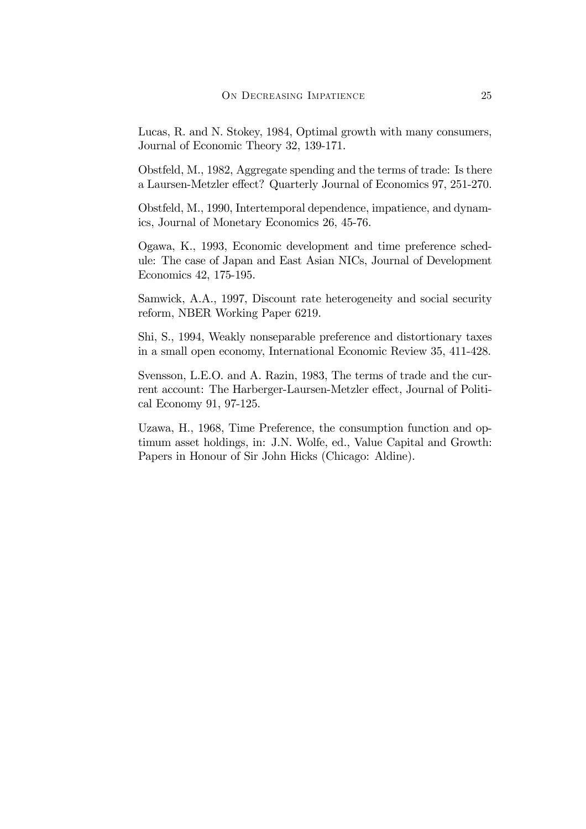Lucas, R. and N. Stokey, 1984, Optimal growth with many consumers, Journal of Economic Theory 32, 139-171.

Obstfeld, M., 1982, Aggregate spending and the terms of trade: Is there a Laursen-Metzler effect? Quarterly Journal of Economics 97, 251-270.

Obstfeld, M., 1990, Intertemporal dependence, impatience, and dynamics, Journal of Monetary Economics 26, 45-76.

Ogawa, K., 1993, Economic development and time preference schedule: The case of Japan and East Asian NICs, Journal of Development Economics 42, 175-195.

Samwick, A.A., 1997, Discount rate heterogeneity and social security reform, NBER Working Paper 6219.

Shi, S., 1994, Weakly nonseparable preference and distortionary taxes in a small open economy, International Economic Review 35, 411-428.

Svensson, L.E.O. and A. Razin, 1983, The terms of trade and the current account: The Harberger-Laursen-Metzler effect, Journal of Political Economy 91, 97-125.

Uzawa, H., 1968, Time Preference, the consumption function and optimum asset holdings, in: J.N. Wolfe, ed., Value Capital and Growth: Papers in Honour of Sir John Hicks (Chicago: Aldine).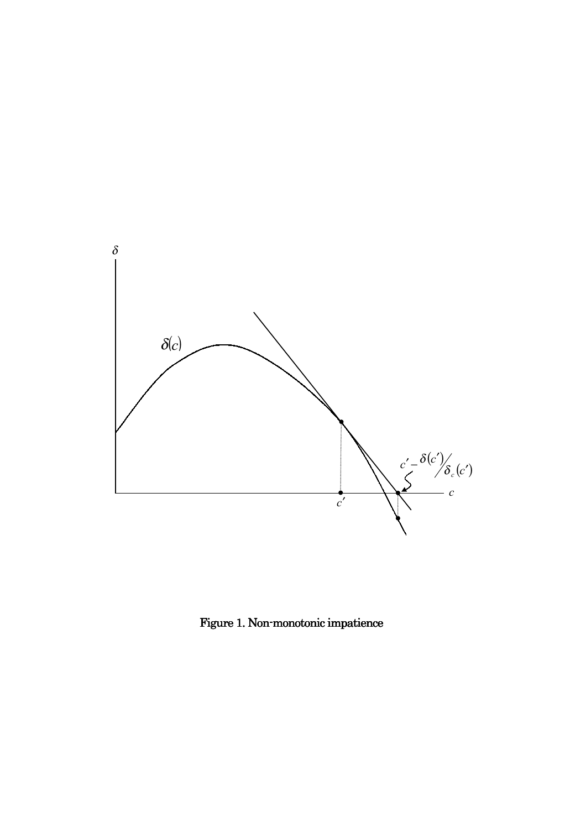

Figure 1. Non-monotonic impatience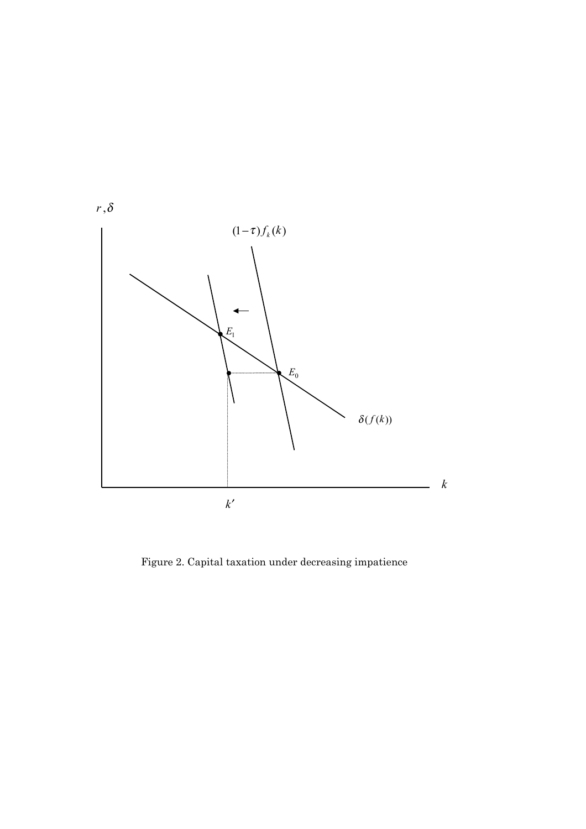

Figure 2. Capital taxation under decreasing impatience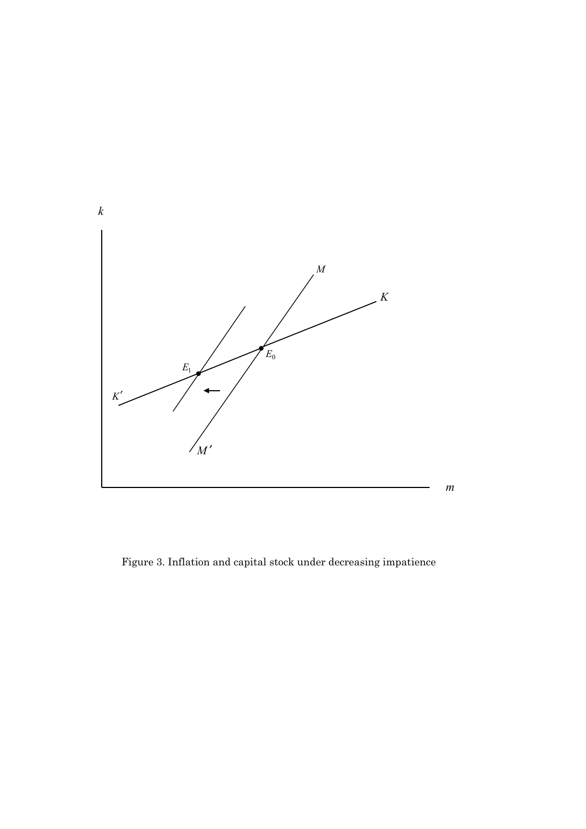

Figure 3. Inflation and capital stock under decreasing impatience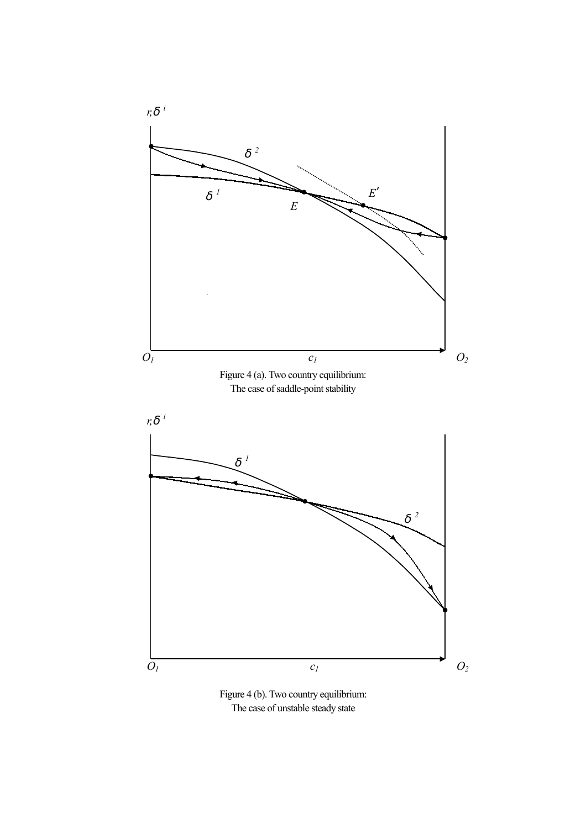

Figure 4 (b). Two country equilibrium: The case of unstable steady state